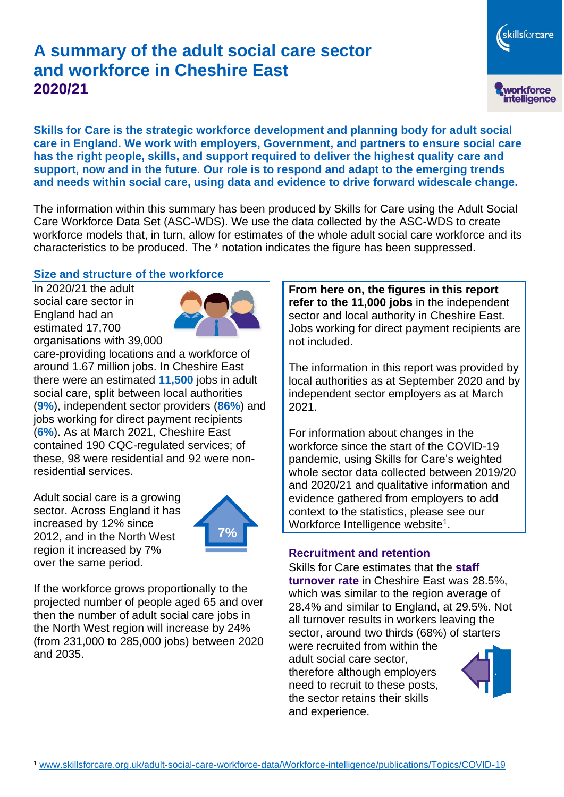# **A summary of the adult social care sector and workforce in Cheshire East 2020/21**

**Skills for Care is the strategic workforce development and planning body for adult social care in England. We work with employers, Government, and partners to ensure social care has the right people, skills, and support required to deliver the highest quality care and support, now and in the future. Our role is to respond and adapt to the emerging trends and needs within social care, using data and evidence to drive forward widescale change.**

The information within this summary has been produced by Skills for Care using the Adult Social Care Workforce Data Set (ASC-WDS). We use the data collected by the ASC-WDS to create workforce models that, in turn, allow for estimates of the whole adult social care workforce and its characteristics to be produced. The \* notation indicates the figure has been suppressed.

#### **Size and structure of the workforce**

In 2020/21 the adult social care sector in England had an estimated 17,700 organisations with 39,000



care-providing locations and a workforce of around 1.67 million jobs. In Cheshire East there were an estimated **11,500** jobs in adult social care, split between local authorities (**9%**), independent sector providers (**86%**) and jobs working for direct payment recipients (**6%**). As at March 2021, Cheshire East contained 190 CQC-regulated services; of these, 98 were residential and 92 were nonresidential services.

Adult social care is a growing sector. Across England it has increased by 12% since 2012, and in the North West region it increased by 7% over the same period.



If the workforce grows proportionally to the projected number of people aged 65 and over then the number of adult social care jobs in the North West region will increase by 24% (from 231,000 to 285,000 jobs) between 2020 and 2035.

**From here on, the figures in this report refer to the 11,000 jobs** in the independent sector and local authority in Cheshire East. Jobs working for direct payment recipients are not included.

The information in this report was provided by local authorities as at September 2020 and by independent sector employers as at March 2021.

For information about changes in the workforce since the start of the COVID-19 pandemic, using Skills for Care's weighted whole sector data collected between 2019/20 and 2020/21 and qualitative information and evidence gathered from employers to add context to the statistics, please see our Workforce Intelligence website<sup>1</sup>.

#### **Recruitment and retention**

Skills for Care estimates that the **staff turnover rate** in Cheshire East was 28.5%, which was similar to the region average of 28.4% and similar to England, at 29.5%. Not all turnover results in workers leaving the sector, around two thirds (68%) of starters were recruited from within the adult social care sector,

therefore although employers need to recruit to these posts, the sector retains their skills and experience.



skillsforcare

workforce<br>intelligence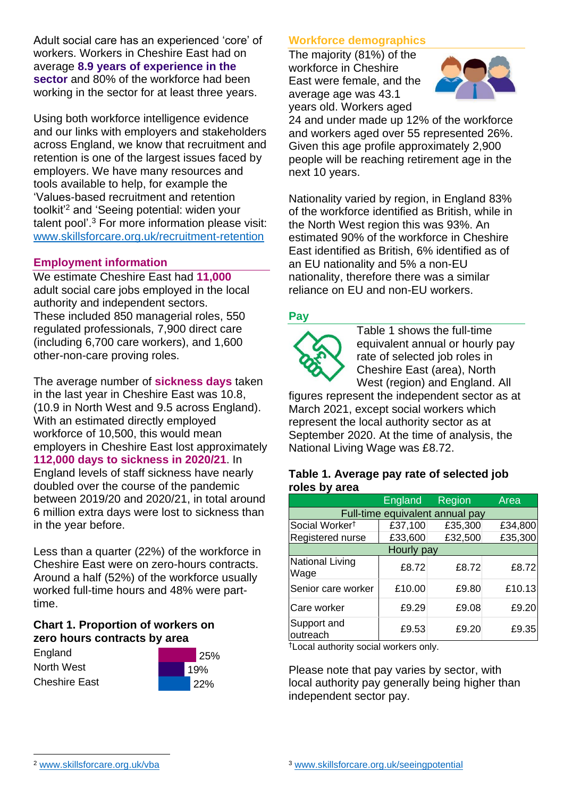Adult social care has an experienced 'core' of workers. Workers in Cheshire East had on average **8.9 years of experience in the sector** and 80% of the workforce had been working in the sector for at least three years.

Using both workforce intelligence evidence and our links with employers and stakeholders across England, we know that recruitment and retention is one of the largest issues faced by employers. We have many resources and tools available to help, for example the 'Values-based recruitment and retention toolkit'<sup>2</sup> and 'Seeing potential: widen your talent pool'. <sup>3</sup> For more information please visit: [www.skillsforcare.org.uk/recruitment-retention](http://www.skillsforcare.org.uk/recruitment-retention)

### **Employment information**

We estimate Cheshire East had **11,000** adult social care jobs employed in the local authority and independent sectors. These included 850 managerial roles, 550 regulated professionals, 7,900 direct care (including 6,700 care workers), and 1,600 other-non-care proving roles.

The average number of **sickness days** taken in the last year in Cheshire East was 10.8, (10.9 in North West and 9.5 across England). With an estimated directly employed workforce of 10,500, this would mean employers in Cheshire East lost approximately **112,000 days to sickness in 2020/21**. In England levels of staff sickness have nearly doubled over the course of the pandemic between 2019/20 and 2020/21, in total around 6 million extra days were lost to sickness than in the year before.

Less than a quarter (22%) of the workforce in Cheshire East were on zero-hours contracts. Around a half (52%) of the workforce usually worked full-time hours and 48% were parttime.

#### **Chart 1. Proportion of workers on zero hours contracts by area**

England North West Cheshire East



### **Workforce demographics**

The majority (81%) of the workforce in Cheshire East were female, and the average age was 43.1 years old. Workers aged



24 and under made up 12% of the workforce and workers aged over 55 represented 26%. Given this age profile approximately 2,900 people will be reaching retirement age in the next 10 years.

Nationality varied by region, in England 83% of the workforce identified as British, while in the North West region this was 93%. An estimated 90% of the workforce in Cheshire East identified as British, 6% identified as of an EU nationality and 5% a non-EU nationality, therefore there was a similar reliance on EU and non-EU workers.

### **Pay**



Table 1 shows the full-time equivalent annual or hourly pay rate of selected job roles in Cheshire East (area), North West (region) and England. All

figures represent the independent sector as at March 2021, except social workers which represent the local authority sector as at September 2020. At the time of analysis, the National Living Wage was £8.72.

#### **Table 1. Average pay rate of selected job roles by area**

|                                 | England | Region  | Area    |
|---------------------------------|---------|---------|---------|
| Full-time equivalent annual pay |         |         |         |
| Social Worker <sup>t</sup>      | £37,100 | £35,300 | £34,800 |
| Registered nurse                | £33,600 | £32,500 | £35,300 |
| Hourly pay                      |         |         |         |
| National Living<br>Wage         | £8.72   | £8.72   | £8.72   |
| Senior care worker              | £10.00  | £9.80   | £10.13  |
| Care worker                     | £9.29   | £9.08   | £9.20   |
| Support and<br>outreach         | £9.53   | £9.20   | £9.35   |

†Local authority social workers only.

Please note that pay varies by sector, with local authority pay generally being higher than independent sector pay.

[www.skillsforcare.org.uk/vba](http://www.skillsforcare.org.uk/vba)